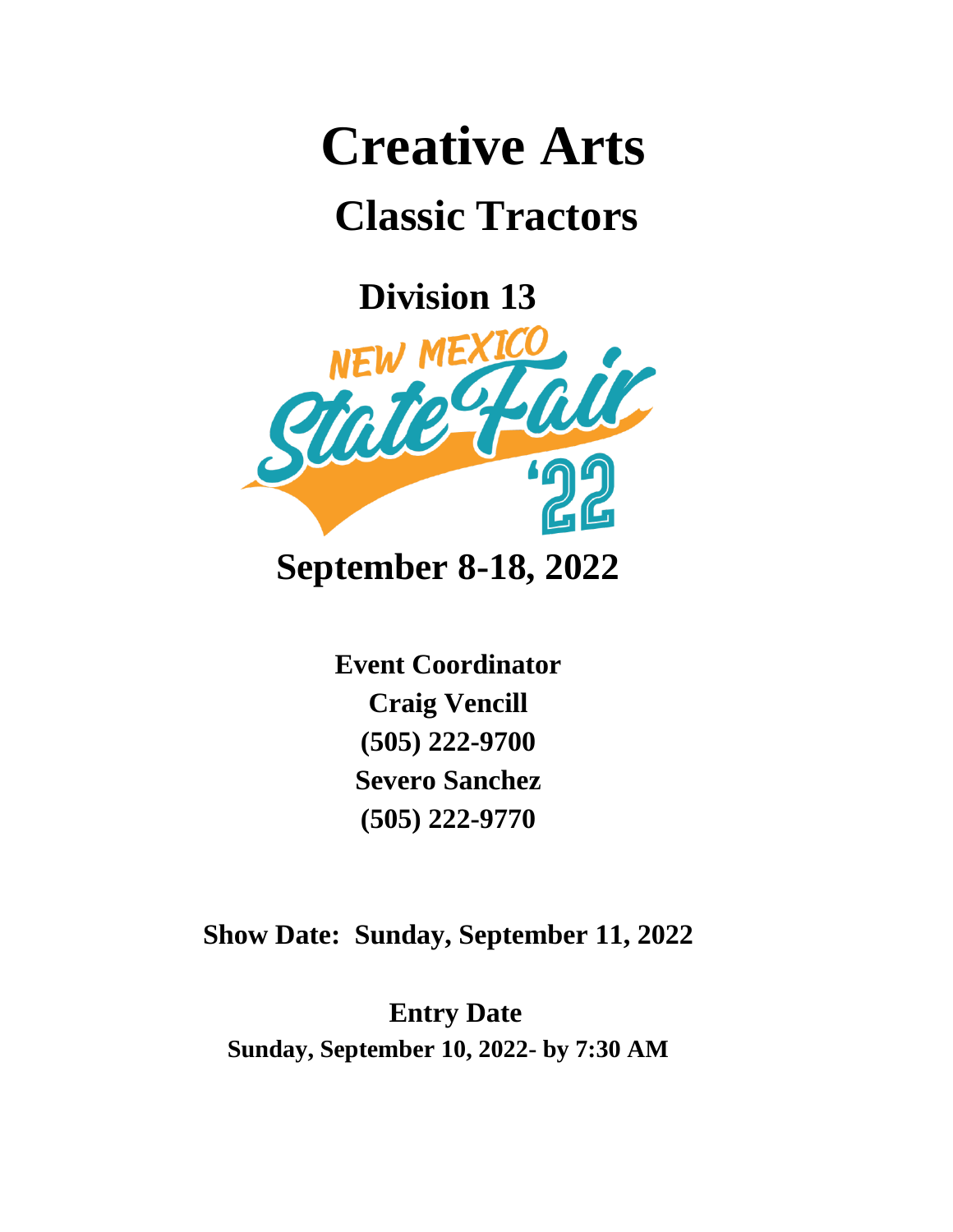# **Creative Arts**

## **Classic Tractors**

**Division 13**



**September 8-18, 2022**

**Event Coordinator Craig Vencill (505) 222-9700 Severo Sanchez (505) 222-9770**

**Show Date: Sunday, September 11, 2022**

**Entry Date Sunday, September 10, 2022- by 7:30 AM**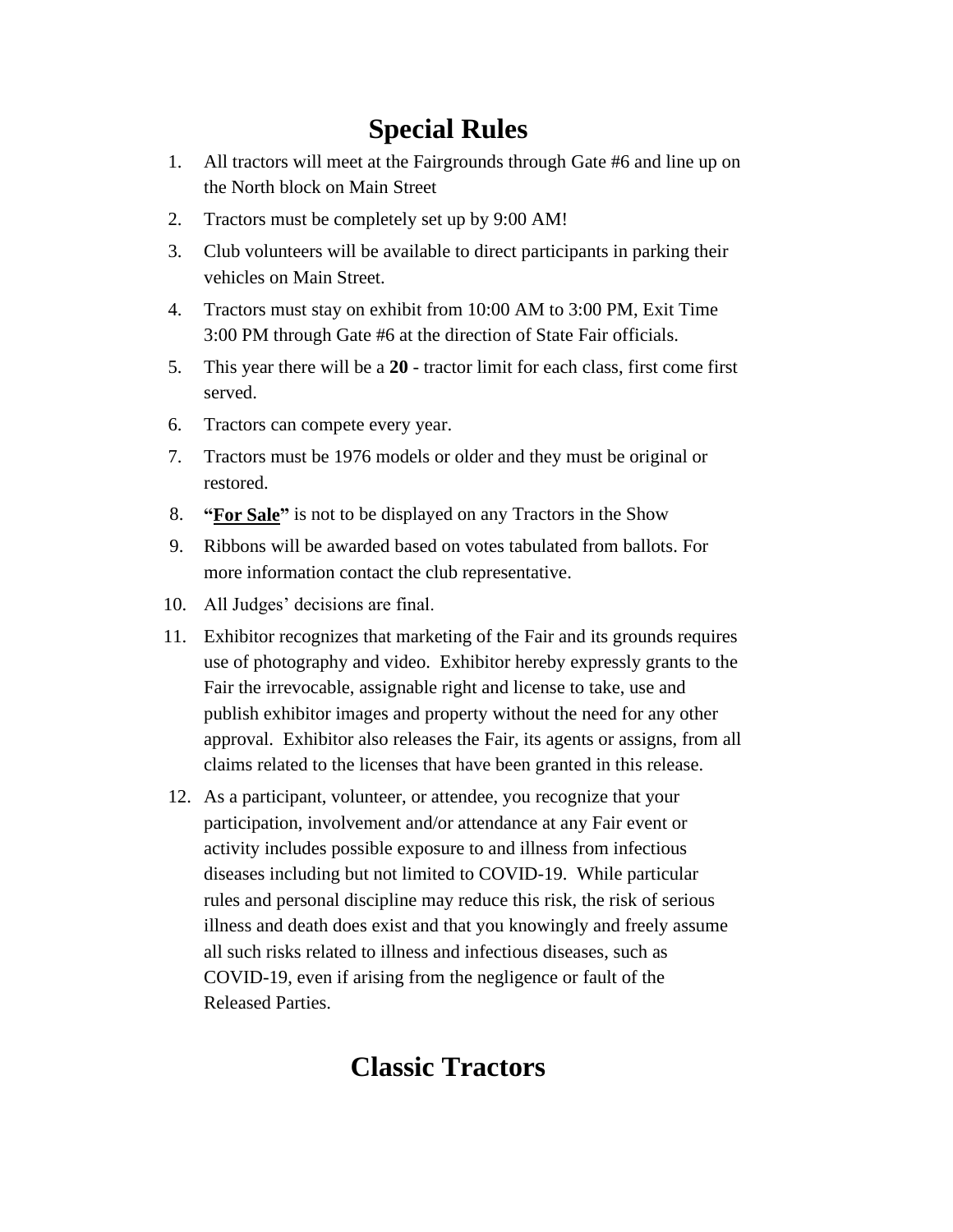#### **Special Rules**

- 1. All tractors will meet at the Fairgrounds through Gate #6 and line up on the North block on Main Street
- 2. Tractors must be completely set up by 9:00 AM!
- 3. Club volunteers will be available to direct participants in parking their vehicles on Main Street.
- 4. Tractors must stay on exhibit from 10:00 AM to 3:00 PM, Exit Time 3:00 PM through Gate #6 at the direction of State Fair officials.
- 5. This year there will be a **20** tractor limit for each class, first come first served.
- 6. Tractors can compete every year.
- 7. Tractors must be 1976 models or older and they must be original or restored.
- 8. **"For Sale"** is not to be displayed on any Tractors in the Show
- 9. Ribbons will be awarded based on votes tabulated from ballots. For more information contact the club representative.
- 10. All Judges' decisions are final.
- 11. Exhibitor recognizes that marketing of the Fair and its grounds requires use of photography and video. Exhibitor hereby expressly grants to the Fair the irrevocable, assignable right and license to take, use and publish exhibitor images and property without the need for any other approval. Exhibitor also releases the Fair, its agents or assigns, from all claims related to the licenses that have been granted in this release.
- 12. As a participant, volunteer, or attendee, you recognize that your participation, involvement and/or attendance at any Fair event or activity includes possible exposure to and illness from infectious diseases including but not limited to COVID-19. While particular rules and personal discipline may reduce this risk, the risk of serious illness and death does exist and that you knowingly and freely assume all such risks related to illness and infectious diseases, such as COVID-19, even if arising from the negligence or fault of the Released Parties.

#### **Classic Tractors**